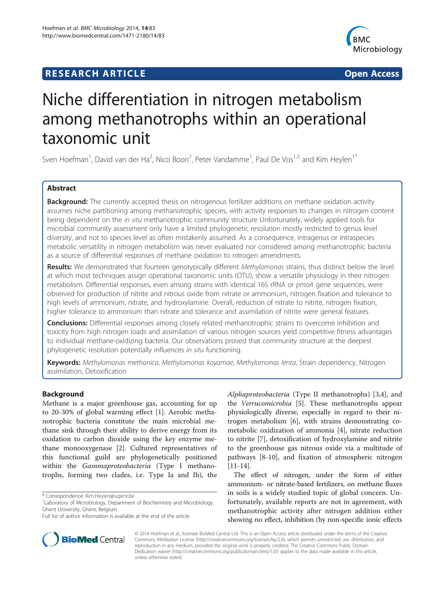## **RESEARCH ARTICLE Example 2014 CONSIDERING CONSIDERING CONSIDERING CONSIDERING CONSIDERING CONSIDERING CONSIDERING CONSIDERING CONSIDERING CONSIDERING CONSIDERING CONSIDERING CONSIDERING CONSIDERING CONSIDERING CONSIDE**



# Niche differentiation in nitrogen metabolism among methanotrophs within an operational taxonomic unit

Sven Hoefman<sup>1</sup>, David van der Ha<sup>2</sup>, Nico Boon<sup>2</sup>, Peter Vandamme<sup>1</sup>, Paul De Vos<sup>1,3</sup> and Kim Heylen<sup>1\*</sup>

## Abstract

Background: The currently accepted thesis on nitrogenous fertilizer additions on methane oxidation activity assumes niche partitioning among methanotrophic species, with activity responses to changes in nitrogen content being dependent on the in situ methanotrophic community structure Unfortunately, widely applied tools for microbial community assessment only have a limited phylogenetic resolution mostly restricted to genus level diversity, and not to species level as often mistakenly assumed. As a consequence, intragenus or intraspecies metabolic versatility in nitrogen metabolism was never evaluated nor considered among methanotrophic bacteria as a source of differential responses of methane oxidation to nitrogen amendments.

Results: We demonstrated that fourteen genotypically different Methylomonas strains, thus distinct below the level at which most techniques assign operational taxonomic units (OTU), show a versatile physiology in their nitrogen metabolism. Differential responses, even among strains with identical 16S rRNA or pmoA gene sequences, were observed for production of nitrite and nitrous oxide from nitrate or ammonium, nitrogen fixation and tolerance to high levels of ammonium, nitrate, and hydroxylamine. Overall, reduction of nitrate to nitrite, nitrogen fixation, higher tolerance to ammonium than nitrate and tolerance and assimilation of nitrite were general features.

**Conclusions:** Differential responses among closely related methanotrophic strains to overcome inhibition and toxicity from high nitrogen loads and assimilation of various nitrogen sources yield competitive fitness advantages to individual methane-oxidizing bacteria. Our observations proved that community structure at the deepest phylogenetic resolution potentially influences in situ functioning.

Keywords: Methylomonas methanica, Methylomonas koyamae, Methylomonas lenta, Strain dependency, Nitrogen assimilation, Detoxification

## Background

Methane is a major greenhouse gas, accounting for up to 20-30% of global warming effect [\[1](#page-9-0)]. Aerobic methanotrophic bacteria constitute the main microbial methane sink through their ability to derive energy from its oxidation to carbon dioxide using the key enzyme methane monooxygenase [[2\]](#page-9-0). Cultured representatives of this functional guild are phylogenetically positioned within the Gammaproteobacteria (Type I methanotrophs, forming two clades, i.e. Type Ia and Ib), the

Alphaproteobacteria (Type II methanotrophs) [\[3,4](#page-9-0)], and the Verrucomicrobia [\[5\]](#page-9-0). These methanotrophs appear physiologically diverse, especially in regard to their nitrogen metabolism [[6\]](#page-9-0), with strains demonstrating cometabolic oxidization of ammonia [[4\]](#page-9-0), nitrate reduction to nitrite [[7\]](#page-9-0), detoxification of hydroxylamine and nitrite to the greenhouse gas nitrous oxide via a multitude of pathways [[8-10\]](#page-9-0), and fixation of atmospheric nitrogen [[11-14](#page-9-0)].

The effect of nitrogen, under the form of either ammonium- or nitrate-based fertilizers, on methane fluxes in soils is a widely studied topic of global concern. Unfortunately, available reports are not in agreement, with methanotrophic activity after nitrogen addition either showing no effect, inhibition (by non-specific ionic effects



© 2014 Hoefman et al.; licensee BioMed Central Ltd. This is an Open Access article distributed under the terms of the Creative Commons Attribution License [\(http://creativecommons.org/licenses/by/2.0\)](http://creativecommons.org/licenses/by/2.0), which permits unrestricted use, distribution, and reproduction in any medium, provided the original work is properly credited. The Creative Commons Public Domain Dedication waiver [\(http://creativecommons.org/publicdomain/zero/1.0/](http://creativecommons.org/publicdomain/zero/1.0/)) applies to the data made available in this article, unless otherwise stated.

<sup>\*</sup> Correspondence: [Kim.Heylen@ugent.be](mailto:Kim.Heylen@ugent.be) <sup>1</sup>

<sup>&</sup>lt;sup>1</sup> Laboratory of Microbiology, Department of Biochemistry and Microbiology, Ghent University, Ghent, Belgium

Full list of author information is available at the end of the article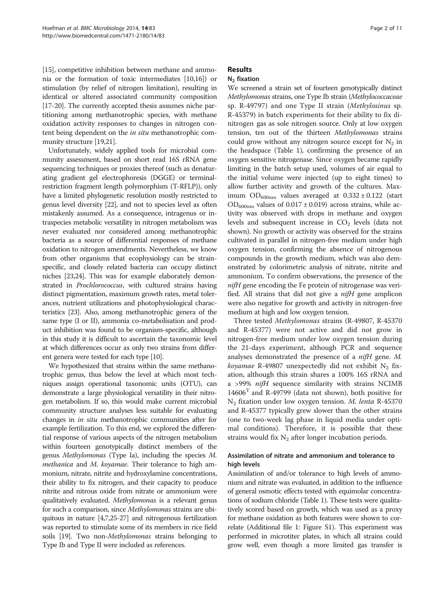[[15](#page-9-0)], competitive inhibition between methane and ammonia or the formation of toxic intermediates [\[10,16\]](#page-9-0)) or stimulation (by relief of nitrogen limitation), resulting in identical or altered associated community composition [[17](#page-9-0)-[20\]](#page-9-0). The currently accepted thesis assumes niche partitioning among methanotrophic species, with methane oxidation activity responses to changes in nitrogen content being dependent on the in situ methanotrophic community structure [[19,21](#page-9-0)].

Unfortunately, widely applied tools for microbial community assessment, based on short read 16S rRNA gene sequencing techniques or proxies thereof (such as denaturating gradient gel electrophoresis (DGGE) or terminalrestriction fragment length polymorphism (T-RFLP)), only have a limited phylogenetic resolution mostly restricted to genus level diversity [\[22\]](#page-9-0), and not to species level as often mistakenly assumed. As a consequence, intragenus or intraspecies metabolic versatility in nitrogen metabolism was never evaluated nor considered among methanotrophic bacteria as a source of differential responses of methane oxidation to nitrogen amendments. Nevertheless, we know from other organisms that ecophysiology can be strainspecific, and closely related bacteria can occupy distinct niches [\[23,24](#page-9-0)]. This was for example elaborately demonstrated in Prochlorococcus, with cultured strains having distinct pigmentation, maximum growth rates, metal tolerances, nutrient utilizations and photophysiological characteristics [\[23\]](#page-9-0). Also, among methanotrophic genera of the same type (I or II), ammonia co-metabolisation and product inhibition was found to be organism-specific, although in this study it is difficult to ascertain the taxonomic level at which differences occur as only two strains from different genera were tested for each type [[10](#page-9-0)].

We hypothesized that strains within the same methanotrophic genus, thus below the level at which most techniques assign operational taxonomic units (OTU), can demonstrate a large physiological versatility in their nitrogen metabolism. If so, this would make current microbial community structure analyses less suitable for evaluating changes in in situ methanotrophic communities after for example fertilization. To this end, we explored the differential response of various aspects of the nitrogen metabolism within fourteen genotypically distinct members of the genus Methylomonas (Type Ia), including the species M. methanica and M. koyamae. Their tolerance to high ammonium, nitrate, nitrite and hydroxylamine concentrations, their ability to fix nitrogen, and their capacity to produce nitrite and nitrous oxide from nitrate or ammonium were qualitatively evaluated. Methylomonas is a relevant genus for such a comparison, since Methylomonas strains are ubiquitous in nature [[4,7,25-27\]](#page-9-0) and nitrogenous fertilization was reported to stimulate some of its members in rice field soils [\[19\]](#page-9-0). Two non-*Methylomonas* strains belonging to Type Ib and Type II were included as references.

## **Results**

## $N<sub>2</sub>$  fixation

We screened a strain set of fourteen genotypically distinct Methylomonas strains, one Type Ib strain (Methylococcaceae sp. R-49797) and one Type II strain (Methylosinus sp. R-45379) in batch experiments for their ability to fix dinitrogen gas as sole nitrogen source. Only at low oxygen tension, ten out of the thirteen Methylomonas strains could grow without any nitrogen source except for  $N_2$  in the headspace (Table [1](#page-2-0)), confirming the presence of an oxygen sensitive nitrogenase. Since oxygen became rapidly limiting in the batch setup used, volumes of air equal to the initial volume were injected (up to eight times) to allow further activity and growth of the cultures. Maximum  $OD_{600nm}$  values averaged at  $0.332 \pm 0.122$  (start  $OD_{600nm}$  values of  $0.017 \pm 0.019$ ) across strains, while activity was observed with drops in methane and oxygen levels and subsequent increase in  $CO<sub>2</sub>$  levels (data not shown). No growth or activity was observed for the strains cultivated in parallel in nitrogen-free medium under high oxygen tension, confirming the absence of nitrogenous compounds in the growth medium, which was also demonstrated by colorimetric analysis of nitrate, nitrite and ammonium. To confirm observations, the presence of the nifH gene encoding the Fe protein of nitrogenase was verified. All strains that did not give a *nifH* gene amplicon were also negative for growth and activity in nitrogen-free medium at high and low oxygen tension.

Three tested Methylomonas strains (R-49807, R-45370 and R-45377) were not active and did not grow in nitrogen-free medium under low oxygen tension during the 21-days experiment, although PCR and sequence analyses demonstrated the presence of a nifH gene. M. koyamae R-49807 unexpectedly did not exhibit  $N_2$  fixation, although this strain shares a 100% 16S rRNA and a >99% nifH sequence similarity with strains NCIMB  $14606<sup>T</sup>$  and R-49799 (data not shown), both positive for N2 fixation under low oxygen tension. M. lenta R-45370 and R-45377 typically grew slower than the other strains (one to two-week lag phase in liquid media under optimal conditions). Therefore, it is possible that these strains would fix  $N_2$  after longer incubation periods.

## Assimilation of nitrate and ammonium and tolerance to high levels

Assimilation of and/or tolerance to high levels of ammonium and nitrate was evaluated, in addition to the influence of general osmotic effects tested with equimolar concentrations of sodium chloride (Table [1](#page-2-0)). These tests were qualitatively scored based on growth, which was used as a proxy for methane oxidation as both features were shown to correlate (Additional file [1:](#page-8-0) Figure S1). This experiment was performed in microtiter plates, in which all strains could grow well, even though a more limited gas transfer is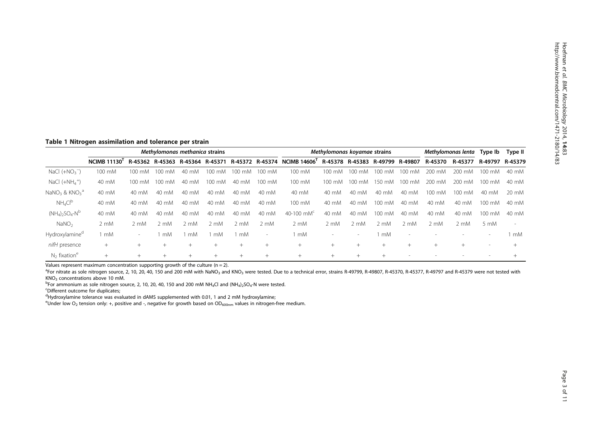## <span id="page-2-0"></span>Table 1 Nitrogen assimilation and tolerance per strain

|                                                       | Methylomonas methanica strains |                  |                  |        |        |                  | Methylomonas koyamae strains |                                                                                              |                          |                          | Methylomonas lenta |                          | Type Ib | Type II          |         |         |
|-------------------------------------------------------|--------------------------------|------------------|------------------|--------|--------|------------------|------------------------------|----------------------------------------------------------------------------------------------|--------------------------|--------------------------|--------------------|--------------------------|---------|------------------|---------|---------|
|                                                       | <b>NCIMB 11130</b>             |                  |                  |        |        |                  |                              | R-45362 R-45363 R-45364 R-45371 R-45372 R-45374 NCIMB 14606' R-45378 R-45383 R-49799 R-49807 |                          |                          |                    |                          | R-45370 | R-45377          | R-49797 | R-45379 |
| NaCl $(+NO3)$                                         | 100 mM                         | $100 \text{ mM}$ | $100 \text{ mM}$ | 40 mM  | 100 mM | $100 \text{ mM}$ | 100 mM                       | 100 mM                                                                                       | $100 \text{ mM}$         | $100 \text{ mM}$         | $100 \text{ mM}$   | $100 \text{ mM}$         | 200 mM  | 200 mM           | 100 mM  | 40 mM   |
| NaCl $(+NH_4^+)$                                      | 40 mM                          | 100 mM           | $100 \text{ mM}$ | 40 mM  | 100 mM | 40 mM            | 100 mM                       | 100 mM                                                                                       | $100 \text{ mM}$         | $100 \text{ mM}$         | 150 mM             | 100 mM                   | 200 mM  | 200 mM           | 100 mM  | 40 mM   |
| NaNO <sub>3</sub> & KNO <sub>3</sub> <sup>a</sup>     | 40 mM                          | 40 mM            | 40 mM            | 40 mM  | 40 mM  | 40 mM            | 40 mM                        | 40 mM                                                                                        | 40 mM                    | 40 mM                    | 40 mM              | 40 mM                    | 100 mM  | $100 \text{ mM}$ | 40 mM   | 20 mM   |
| $NH_4Cl^b$                                            | 40 mM                          | 40 mM            | 40 mM            | 40 mM  | 40 mM  | 40 mM            | 40 mM                        | 100 mM                                                                                       | 40 mM                    | 40 mM                    | 100 mM             | 40 mM                    | 40 mM   | 40 mM            | 100 mM  | 40 mM   |
| $(NH_4)$ <sub>2</sub> SO <sub>4</sub> -N <sup>b</sup> | 40 mM                          | 40 mM            | 40 mM            | 40 mM  | 40 mM  | 40 mM            | 40 mM                        | 40-100 m $M^c$                                                                               | 40 mM                    | $40 \text{ mM}$          | 100 mM             | 40 mM                    | 40 mM   | 40 mM            | 100 mM  | 40 mM   |
| NaNO <sub>2</sub>                                     | 2 mM                           | 2 mM             | 2 mM             | 2 mM   | 2 mM   | 2 mM             | 2 mM                         | 2 mM                                                                                         | $2 \text{ mM}$           | 2 mM                     | 2 mM               | 2 mM                     | 2 mM    | 2 mM             | 5 mM    |         |
| Hydroxylamine <sup>d</sup>                            | mM                             | $\sim$           | mM               | mM     | mM     | mM               | $\sim$                       | mM                                                                                           | $\overline{\phantom{a}}$ | $\overline{\phantom{0}}$ | mM                 | $\overline{\phantom{a}}$ |         |                  |         | 1 mM    |
| nifH presence                                         | $+$                            | $+$              | $^{+}$           | $^{+}$ | $^{+}$ | $^{+}$           | $^{+}$                       | $+$                                                                                          | $^{+}$                   | $+$                      | $^{+}$             | $^{+}$                   | $^{+}$  |                  |         |         |
| $N_2$ fixation <sup>e</sup>                           | $^{+}$                         | $+$              | $^{+}$           | $^{+}$ | $^{+}$ | $^{+}$           | $^{+}$                       | $+$                                                                                          | $^{+}$                   | $^{+}$                   | $+$                | $\sim$                   |         |                  |         |         |

Values represent maximum concentration supporting growth of the culture ( $n = 2$ ).

<sup>a</sup>For nitrate as sole nitrogen source, 2, 10, 20, 40, 150 and 200 mM with NaNO<sub>3</sub> and KNO<sub>3</sub> were tested. Due to a technical error, strains R-49799, R-49807, R-45370, R-45377, R-49797 and R-45379 were not tested with  $KNO<sub>3</sub>$  concentrations above 10 mM.

 $^{b}$ For ammonium as sole nitrogen source, 2, 10, 20, 40, 150 and 200 mM NH<sub>4</sub>Cl and (NH<sub>4</sub>)<sub>2</sub>SO<sub>4</sub>-N were tested.

Different outcome for duplicates;

<sup>d</sup>Hydroxylamine tolerance was evaluated in dAMS supplemented with 0.01, 1 and 2 mM hydroxylamine;

<sup>e</sup>Under low O<sub>2</sub> tension only: +, positive and -, negative for growth based on OD<sub>600nm</sub> values in nitrogen-free medium.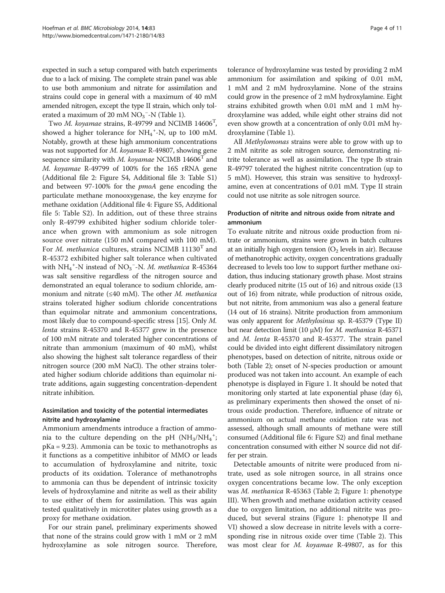expected in such a setup compared with batch experiments due to a lack of mixing. The complete strain panel was able to use both ammonium and nitrate for assimilation and strains could cope in general with a maximum of 40 mM amended nitrogen, except the type II strain, which only tolerated a maximum of 20 mM  $NO_3$ <sup>-</sup>-N (Table [1](#page-2-0)).

Two M. koyamae strains, R-49799 and NCIMB 14606<sup>T</sup>, showed a higher tolerance for  $NH_4$ <sup>+</sup>-N, up to 100 mM. Notably, growth at these high ammonium concentrations was not supported for M. koyamae R-49807, showing gene sequence similarity with *M. koyamae* NCIMB  $14606<sup>T</sup>$  and M. koyamae R-49799 of 100% for the 16S rRNA gene (Additional file [2](#page-8-0): Figure S4, Additional file [3:](#page-8-0) Table S1) and between 97-100% for the pmoA gene encoding the particulate methane monooxygenase, the key enzyme for methane oxidation (Additional file [4](#page-8-0): Figure S5, Additional file [5](#page-8-0): Table S2). In addition, out of these three strains only R-49799 exhibited higher sodium chloride tolerance when grown with ammonium as sole nitrogen source over nitrate (150 mM compared with 100 mM). For *M. methanica* cultures, strains NCIMB  $11130<sup>T</sup>$  and R-45372 exhibited higher salt tolerance when cultivated with  $NH_4^+$ -N instead of NO<sub>3</sub><sup>-</sup>-N. M. methanica R-45364 was salt sensitive regardless of the nitrogen source and demonstrated an equal tolerance to sodium chloride, ammonium and nitrate ( $\leq 40$  mM). The other *M. methanica* strains tolerated higher sodium chloride concentrations than equimolar nitrate and ammonium concentrations, most likely due to compound-specific stress [\[15\]](#page-9-0). Only M. lenta strains R-45370 and R-45377 grew in the presence of 100 mM nitrate and tolerated higher concentrations of nitrate than ammonium (maximum of 40 mM), whilst also showing the highest salt tolerance regardless of their nitrogen source (200 mM NaCl). The other strains tolerated higher sodium chloride additions than equimolar nitrate additions, again suggesting concentration-dependent nitrate inhibition.

## Assimilation and toxicity of the potential intermediates nitrite and hydroxylamine

Ammonium amendments introduce a fraction of ammonia to the culture depending on the pH  $(NH_3/NH_4$ <sup>+</sup>; pKa = 9.23). Ammonia can be toxic to methanotrophs as it functions as a competitive inhibitor of MMO or leads to accumulation of hydroxylamine and nitrite, toxic products of its oxidation. Tolerance of methanotrophs to ammonia can thus be dependent of intrinsic toxicity levels of hydroxylamine and nitrite as well as their ability to use either of them for assimilation. This was again tested qualitatively in microtiter plates using growth as a proxy for methane oxidation.

For our strain panel, preliminary experiments showed that none of the strains could grow with 1 mM or 2 mM hydroxylamine as sole nitrogen source. Therefore,

tolerance of hydroxylamine was tested by providing 2 mM ammonium for assimilation and spiking of 0.01 mM, 1 mM and 2 mM hydroxylamine. None of the strains could grow in the presence of 2 mM hydroxylamine. Eight strains exhibited growth when 0.01 mM and 1 mM hydroxylamine was added, while eight other strains did not even show growth at a concentration of only 0.01 mM hydroxylamine (Table [1](#page-2-0)).

All Methylomonas strains were able to grow with up to 2 mM nitrite as sole nitrogen source, demonstrating nitrite tolerance as well as assimilation. The type Ib strain R-49797 tolerated the highest nitrite concentration (up to 5 mM). However, this strain was sensitive to hydroxylamine, even at concentrations of 0.01 mM. Type II strain could not use nitrite as sole nitrogen source.

## Production of nitrite and nitrous oxide from nitrate and ammonium

To evaluate nitrite and nitrous oxide production from nitrate or ammonium, strains were grown in batch cultures at an initially high oxygen tension  $(O_2$  levels in air). Because of methanotrophic activity, oxygen concentrations gradually decreased to levels too low to support further methane oxidation, thus inducing stationary growth phase. Most strains clearly produced nitrite (15 out of 16) and nitrous oxide (13 out of 16) from nitrate, while production of nitrous oxide, but not nitrite, from ammonium was also a general feature (14 out of 16 strains). Nitrite production from ammonium was only apparent for Methylosinus sp. R-45379 (Type II) but near detection limit (10 μM) for M. methanica R-45371 and M. lenta R-45370 and R-45377. The strain panel could be divided into eight different dissimilatory nitrogen phenotypes, based on detection of nitrite, nitrous oxide or both (Table [2\)](#page-4-0); onset of N-species production or amount produced was not taken into account. An example of each phenotype is displayed in Figure [1](#page-5-0). It should be noted that monitoring only started at late exponential phase (day 6), as preliminary experiments then showed the onset of nitrous oxide production. Therefore, influence of nitrate or ammonium on actual methane oxidation rate was not assessed, although small amounts of methane were still consumed (Additional file [6:](#page-8-0) Figure S2) and final methane concentration consumed with either N source did not differ per strain.

Detectable amounts of nitrite were produced from nitrate, used as sole nitrogen source, in all strains once oxygen concentrations became low. The only exception was M. methanica R-45363 (Table [2](#page-4-0); Figure [1:](#page-5-0) phenotype III). When growth and methane oxidation activity ceased due to oxygen limitation, no additional nitrite was produced, but several strains (Figure [1:](#page-5-0) phenotype II and VI) showed a slow decrease in nitrite levels with a corresponding rise in nitrous oxide over time (Table [2](#page-4-0)). This was most clear for M. koyamae R-49807, as for this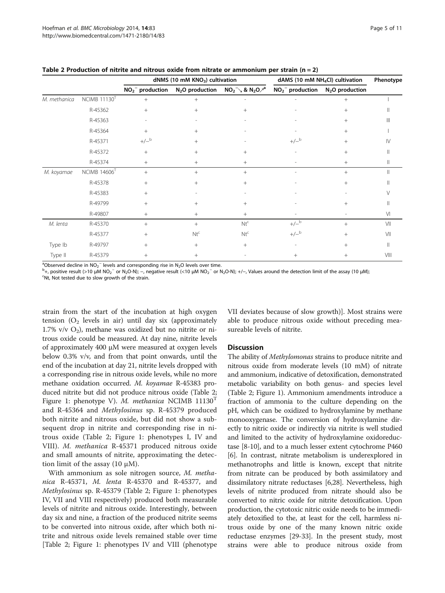|              |                          |                   | dNMS (10 mM KNO <sub>3</sub> ) cultivation |                     | dAMS (10 mM $NH4Cl$ ) cultivation | Phenotype        |                        |
|--------------|--------------------------|-------------------|--------------------------------------------|---------------------|-----------------------------------|------------------|------------------------|
|              |                          | $NO2-$ production | N <sub>2</sub> O production                | $NO_2^-$ & $N_2O^a$ | $NO2-$ production                 | $N2O$ production |                        |
| M. methanica | NCIMB 11130 <sup>T</sup> | $+$               | $^{+}$                                     |                     |                                   | $^{+}$           |                        |
|              | R-45362                  | $+$               | $+$                                        | $^{+}$              |                                   | $^{+}$           |                        |
|              | R-45363                  |                   |                                            |                     |                                   | $^{+}$           | Ш                      |
|              | R-45364                  | $^{+}$            | $+$                                        |                     |                                   | $^{+}$           |                        |
|              | R-45371                  | $+/-$ b           | $+$                                        |                     | $+/-^b$                           | $^{+}$           | $\mathsf{I}\mathsf{V}$ |
|              | R-45372                  | $+$               | $^{+}$                                     | $^{+}$              |                                   | $^{+}$           |                        |
|              | R-45374                  | $+$               | $^{+}$                                     | $^{+}$              |                                   | $+$              | Ш                      |
| M. koyamae   | $NCIMB$ 14606 $T$        | $+$               | $+$                                        | $^{+}$              |                                   | $^{+}$           |                        |
|              | R-45378                  | $+$               | $^{+}$                                     | $^{+}$              |                                   | $^{+}$           |                        |
|              | R-45383                  | $+$               |                                            |                     |                                   |                  |                        |
|              | R-49799                  | $+$               | $^{+}$                                     | $^{+}$              |                                   | $^{+}$           |                        |
|              | R-49807                  | $+$               | $^{+}$                                     | $^{+}$              |                                   |                  | V <sub>l</sub>         |
| M. lenta     | R-45370                  | $+$               | $+$                                        | $Nt^{c}$            | $+/-$ b                           | $+$              | VII                    |
|              | R-45377                  | $^{+}$            | $Nt^c$                                     | $Nt^c$              | $+/-$ b                           | $^{+}$           | VII                    |
| Type Ib      | R-49797                  | $^{+}$            | $^{+}$                                     | $^{+}$              | $\overline{\phantom{a}}$          | $^{+}$           | Ш                      |
| Type II      | R-45379                  | $+$               | $+$                                        |                     | $^{+}$                            | $^{+}$           | VIII                   |

<span id="page-4-0"></span>Table 2 Production of nitrite and nitrous oxide from nitrate or ammonium per strain ( $n = 2$ )

<sup>a</sup>Observed decline in NO<sub>2</sub><sup>−</sup> levels and corresponding rise in N<sub>2</sub>O levels over time.<br><sup>b</sup>+ positive result (>10 uM NO-<sup>−</sup> or N-O-N); – pegative result (<10 uM NO-<sup>−</sup> or N

<sup>b</sup>+, positive result (>10 μM NO<sub>2</sub><sup>-</sup> or N<sub>2</sub>O-N); –, negative result (<10 μM NO<sub>2</sub><sup>-</sup> or N<sub>2</sub>O-N); +/-, Values around the detection limit of the assay (10 μM); <sup>C</sup>Nt Not to slow arount of the assay (10 μM); <sup>c</sup>Nt, Not tested due to slow growth of the strain.

strain from the start of the incubation at high oxygen tension  $(O_2$  levels in air) until day six (approximately 1.7% v/v  $O_2$ ), methane was oxidized but no nitrite or nitrous oxide could be measured. At day nine, nitrite levels of approximately 400 μM were measured at oxygen levels below 0.3% v/v, and from that point onwards, until the end of the incubation at day 21, nitrite levels dropped with a corresponding rise in nitrous oxide levels, while no more methane oxidation occurred. M. koyamae R-45383 produced nitrite but did not produce nitrous oxide (Table 2; Figure [1:](#page-5-0) phenotype V). M. methanica NCIMB 11130<sup>T</sup> and R-45364 and Methylosinus sp. R-45379 produced both nitrite and nitrous oxide, but did not show a subsequent drop in nitrite and corresponding rise in nitrous oxide (Table 2; Figure [1](#page-5-0): phenotypes I, IV and VIII). M. methanica R-45371 produced nitrous oxide and small amounts of nitrite, approximating the detection limit of the assay  $(10 \mu M)$ .

With ammonium as sole nitrogen source, M. methanica R-45371, M. lenta R-45370 and R-45377, and Methylosinus sp. R-45379 (Table 2; Figure [1:](#page-5-0) phenotypes IV, VII and VIII respectively) produced both measurable levels of nitrite and nitrous oxide. Interestingly, between day six and nine, a fraction of the produced nitrite seems to be converted into nitrous oxide, after which both nitrite and nitrous oxide levels remained stable over time [Table 2; Figure [1:](#page-5-0) phenotypes IV and VIII (phenotype VII deviates because of slow growth)]. Most strains were able to produce nitrous oxide without preceding measureable levels of nitrite.

#### **Discussion**

The ability of Methylomonas strains to produce nitrite and nitrous oxide from moderate levels (10 mM) of nitrate and ammonium, indicative of detoxification, demonstrated metabolic variability on both genus- and species level (Table 2; Figure [1](#page-5-0)). Ammonium amendments introduce a fraction of ammonia to the culture depending on the pH, which can be oxidized to hydroxylamine by methane monooxygenase. The conversion of hydroxylamine directly to nitric oxide or indirectly via nitrite is well studied and limited to the activity of hydroxylamine oxidoreductase [\[8](#page-9-0)-[10](#page-9-0)], and to a much lesser extent cytochrome P460 [[6\]](#page-9-0). In contrast, nitrate metabolism is underexplored in methanotrophs and little is known, except that nitrite from nitrate can be produced by both assimilatory and dissimilatory nitrate reductases [\[6,28\]](#page-9-0). Nevertheless, high levels of nitrite produced from nitrate should also be converted to nitric oxide for nitrite detoxification. Upon production, the cytotoxic nitric oxide needs to be immediately detoxified to the, at least for the cell, harmless nitrous oxide by one of the many known nitric oxide reductase enzymes [[29](#page-9-0)-[33](#page-9-0)]. In the present study, most strains were able to produce nitrous oxide from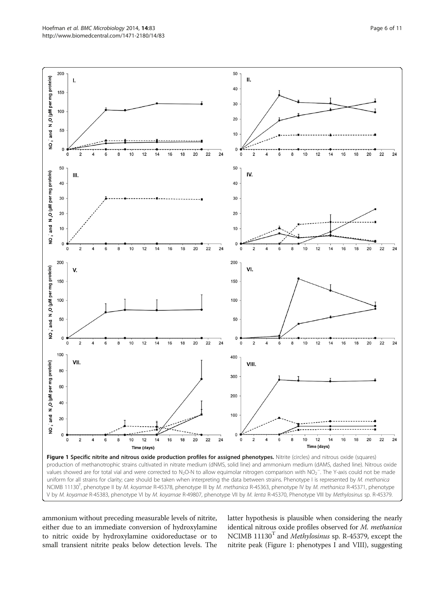<span id="page-5-0"></span>

ammonium without preceding measurable levels of nitrite, either due to an immediate conversion of hydroxylamine to nitric oxide by hydroxylamine oxidoreductase or to small transient nitrite peaks below detection levels. The latter hypothesis is plausible when considering the nearly identical nitrous oxide profiles observed for M. methanica NCIMB  $11130<sup>T</sup>$  and *Methylosinus* sp. R-45379, except the nitrite peak (Figure 1: phenotypes I and VIII), suggesting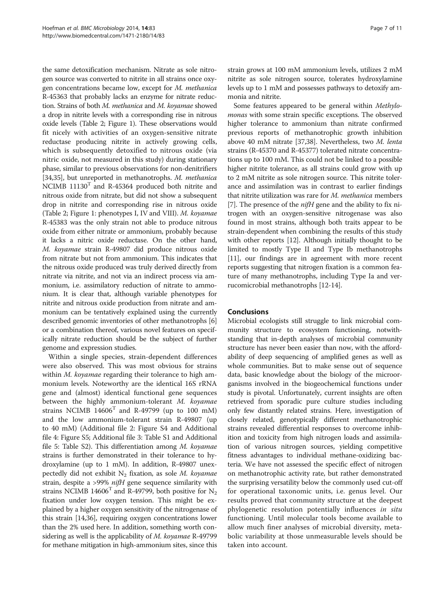the same detoxification mechanism. Nitrate as sole nitrogen source was converted to nitrite in all strains once oxygen concentrations became low, except for M. methanica R-45363 that probably lacks an enzyme for nitrate reduction. Strains of both M. methanica and M. koyamae showed a drop in nitrite levels with a corresponding rise in nitrous oxide levels (Table [2](#page-4-0); Figure [1\)](#page-5-0). These observations would fit nicely with activities of an oxygen-sensitive nitrate reductase producing nitrite in actively growing cells, which is subsequently detoxified to nitrous oxide (via nitric oxide, not measured in this study) during stationary phase, similar to previous observations for non-denitrifiers [[34,35](#page-9-0)], but unreported in methanotrophs. M. methanica NCIMB  $11130<sup>T</sup>$  and R-45364 produced both nitrite and nitrous oxide from nitrate, but did not show a subsequent drop in nitrite and corresponding rise in nitrous oxide (Table [2](#page-4-0); Figure [1:](#page-5-0) phenotypes I, IV and VIII). M. koyamae R-45383 was the only strain not able to produce nitrous oxide from either nitrate or ammonium, probably because it lacks a nitric oxide reductase. On the other hand, M. koyamae strain R-49807 did produce nitrous oxide from nitrate but not from ammonium. This indicates that the nitrous oxide produced was truly derived directly from nitrate via nitrite, and not via an indirect process via ammonium, i.e. assimilatory reduction of nitrate to ammonium. It is clear that, although variable phenotypes for nitrite and nitrous oxide production from nitrate and ammonium can be tentatively explained using the currently described genomic inventories of other methanotrophs [[6](#page-9-0)] or a combination thereof, various novel features on specifically nitrate reduction should be the subject of further genome and expression studies.

Within a single species, strain-dependent differences were also observed. This was most obvious for strains within *M. koyamae* regarding their tolerance to high ammonium levels. Noteworthy are the identical 16S rRNA gene and (almost) identical functional gene sequences between the highly ammonium-tolerant M. koyamae strains NCIMB  $14606<sup>T</sup>$  and R-49799 (up to 100 mM) and the low ammonium-tolerant strain R-49807 (up to 40 mM) (Additional file [2:](#page-8-0) Figure S4 and Additional file [4](#page-8-0): Figure S5; Additional file [3:](#page-8-0) Table S1 and Additional file [5](#page-8-0): Table S2). This differentiation among M. koyamae strains is further demonstrated in their tolerance to hydroxylamine (up to 1 mM). In addition, R-49807 unexpectedly did not exhibit  $N_2$  fixation, as sole M. koyamae strain, despite a >99% nifH gene sequence similarity with strains NCIMB 14606<sup>T</sup> and R-49799, both positive for  $N_2$ fixation under low oxygen tension. This might be explained by a higher oxygen sensitivity of the nitrogenase of this strain [[14,36](#page-9-0)], requiring oxygen concentrations lower than the 2% used here. In addition, something worth considering as well is the applicability of *M. koyamae* R-49799 for methane mitigation in high-ammonium sites, since this

strain grows at 100 mM ammonium levels, utilizes 2 mM nitrite as sole nitrogen source, tolerates hydroxylamine levels up to 1 mM and possesses pathways to detoxify ammonia and nitrite.

Some features appeared to be general within Methylomonas with some strain specific exceptions. The observed higher tolerance to ammonium than nitrate confirmed previous reports of methanotrophic growth inhibition above 40 mM nitrate [\[37,38\]](#page-9-0). Nevertheless, two M. lenta strains (R-45370 and R-45377) tolerated nitrate concentrations up to 100 mM. This could not be linked to a possible higher nitrite tolerance, as all strains could grow with up to 2 mM nitrite as sole nitrogen source. This nitrite tolerance and assimilation was in contrast to earlier findings that nitrite utilization was rare for M. methanica members [[7\]](#page-9-0). The presence of the  $niH$  gene and the ability to fix nitrogen with an oxygen-sensitive nitrogenase was also found in most strains, although both traits appear to be strain-dependent when combining the results of this study with other reports [\[12\]](#page-9-0). Although initially thought to be limited to mostly Type II and Type Ib methanotrophs [[11](#page-9-0)], our findings are in agreement with more recent reports suggesting that nitrogen fixation is a common feature of many methanotrophs, including Type Ia and verrucomicrobial methanotrophs [\[12-14\]](#page-9-0).

## Conclusions

Microbial ecologists still struggle to link microbial community structure to ecosystem functioning, notwithstanding that in-depth analyses of microbial community structure has never been easier than now, with the affordability of deep sequencing of amplified genes as well as whole communities. But to make sense out of sequence data, basic knowledge about the biology of the microorganisms involved in the biogeochemical functions under study is pivotal. Unfortunately, current insights are often retrieved from sporadic pure culture studies including only few distantly related strains. Here, investigation of closely related, genotypically different methanotrophic strains revealed differential responses to overcome inhibition and toxicity from high nitrogen loads and assimilation of various nitrogen sources, yielding competitive fitness advantages to individual methane-oxidizing bacteria. We have not assessed the specific effect of nitrogen on methanotrophic activity rate, but rather demonstrated the surprising versatility below the commonly used cut-off for operational taxonomic units, i.e. genus level. Our results proved that community structure at the deepest phylogenetic resolution potentially influences in situ functioning. Until molecular tools become available to allow much finer analyses of microbial diversity, metabolic variability at those unmeasurable levels should be taken into account.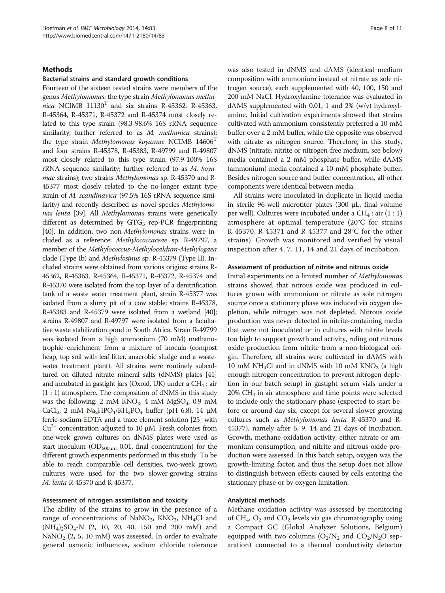#### **Methods**

#### Bacterial strains and standard growth conditions

Fourteen of the sixteen tested strains were members of the genus Methylomonas: the type strain Methylomonas methanica NCIMB  $11130<sup>T</sup>$  and six strains R-45362, R-45363, R-45364, R-45371, R-45372 and R-45374 most closely related to this type strain (98.3-98.6% 16S rRNA sequence similarity; further referred to as M. methanica strains); the type strain Methylomonas koyamae NCIMB 14606<sup>T</sup> and four strains R-45378, R-45383, R-49799 and R-49807 most closely related to this type strain (97.9-100% 16S rRNA sequence similarity; further referred to as M. koyamae strains); two strains Methylomonas sp. R-45370 and R-45377 most closely related to the no-longer extant type strain of M. scandinavica (97.5% 16S rRNA sequence similarity) and recently described as novel species Methylomonas lenta [\[39\]](#page-9-0). All Methylomonas strains were genetically different as determined by  $GTG<sub>5</sub>$  rep-PCR fingerprinting [[40\]](#page-10-0). In addition, two non-*Methylomonas* strains were included as a reference: Methylococcaceae sp. R-49797, a member of the Methylococcus-Methylocaldum-Methylogaea clade (Type Ib) and Methylosinus sp. R-45379 (Type II). Included strains were obtained from various origins: strains R-45362, R-45363, R-45364, R-45371, R-45372, R-45374 and R-45370 were isolated from the top layer of a denitrification tank of a waste water treatment plant, strain R-45377 was isolated from a slurry pit of a cow stable; strains R-45378, R-45383 and R-45379 were isolated from a wetland [\[40](#page-10-0)]; strains R-49807 and R-49797 were isolated from a facultative waste stabilization pond in South Africa. Strain R-49799 was isolated from a high ammonium (70 mM) methanotrophic enrichment from a mixture of inocula (compost heap, top soil with leaf litter, anaerobic sludge and a wastewater treatment plant). All strains were routinely subcultured on diluted nitrate mineral salts (dNMS) plates [\[41](#page-10-0)] and incubated in gastight jars (Oxoid, UK) under a  $CH<sub>4</sub>$ : air (1 : 1) atmosphere. The composition of dNMS in this study was the following: 2 mM  $KNO_3$ , 4 mM  $MgSO_4$ , 0.9 mM CaCl<sub>2</sub>, 2 mM Na<sub>2</sub>HPO<sub>4</sub>/KH<sub>2</sub>PO<sub>4</sub> buffer (pH 6.8), 14  $\mu$ M ferric-sodium-EDTA and a trace element solution [\[25](#page-9-0)] with  $Cu<sup>2+</sup>$  concentration adjusted to 10  $\mu$ M. Fresh colonies from one-week grown cultures on dNMS plates were used as start inoculum ( $OD_{600nm}$  0.01, final concentration) for the different growth experiments performed in this study. To be able to reach comparable cell densities, two-week grown cultures were used for the two slower-growing strains M. lenta R-45370 and R-45377.

### Assessment of nitrogen assimilation and toxicity

The ability of the strains to grow in the presence of a range of concentrations of  $\text{NaNO}_3$ ,  $\text{KNO}_3$ ,  $\text{NH}_4\text{Cl}$  and  $(NH_4)_2SO_4-N$  (2, 10, 20, 40, 150 and 200 mM) and NaNO<sub>2</sub> (2, 5, 10 mM) was assessed. In order to evaluate general osmotic influences, sodium chloride tolerance was also tested in dNMS and dAMS (identical medium composition with ammonium instead of nitrate as sole nitrogen source), each supplemented with 40, 100, 150 and 200 mM NaCl. Hydroxylamine tolerance was evaluated in dAMS supplemented with 0.01, 1 and 2% (w/v) hydroxylamine. Initial cultivation experiments showed that strains cultivated with ammonium consistently preferred a 10 mM buffer over a 2 mM buffer, while the opposite was observed with nitrate as nitrogen source. Therefore, in this study, dNMS (nitrate, nitrite or nitrogen-free medium, see below) media contained a 2 mM phosphate buffer, while dAMS (ammonium) media contained a 10 mM phosphate buffer. Besides nitrogen source and buffer concentration, all other components were identical between media.

All strains were inoculated in duplicate in liquid media in sterile 96-well microtiter plates (300 μL, final volume per well). Cultures were incubated under a  $CH_4$ : air  $(1:1)$ atmosphere at optimal temperature (20°C for strains R-45370, R-45371 and R-45377 and 28°C for the other strains). Growth was monitored and verified by visual inspection after 4, 7, 11, 14 and 21 days of incubation.

#### Assessment of production of nitrite and nitrous oxide

Initial experiments on a limited number of Methylomonas strains showed that nitrous oxide was produced in cultures grown with ammonium or nitrate as sole nitrogen source once a stationary phase was induced via oxygen depletion, while nitrogen was not depleted. Nitrous oxide production was never detected in nitrite-containing media that were not inoculated or in cultures with nitrite levels too high to support growth and activity, ruling out nitrous oxide production from nitrite from a non-biological origin. Therefore, all strains were cultivated in dAMS with 10 mM NH<sub>4</sub>Cl and in dNMS with 10 mM KNO<sub>3</sub> (a high enough nitrogen concentration to prevent nitrogen depletion in our batch setup) in gastight serum vials under a  $20\%$  CH<sub>4</sub> in air atmosphere and time points were selected to include only the stationary phase (expected to start before or around day six, except for several slower growing cultures such as Methylomonas lenta R-45370 and R-45377), namely after 6, 9, 14 and 21 days of incubation. Growth, methane oxidation activity, either nitrate or ammonium consumption, and nitrite and nitrous oxide production were assessed. In this batch setup, oxygen was the growth-limiting factor, and thus the setup does not allow to distinguish between effects caused by cells entering the stationary phase or by oxygen limitation.

#### Analytical methods

Methane oxidation activity was assessed by monitoring of  $CH_4$ ,  $O_2$  and  $CO_2$  levels via gas chromatography using a Compact GC (Global Analyzer Solutions, Belgium) equipped with two columns  $(O_2/N_2$  and  $CO_2/N_2O$  separation) connected to a thermal conductivity detector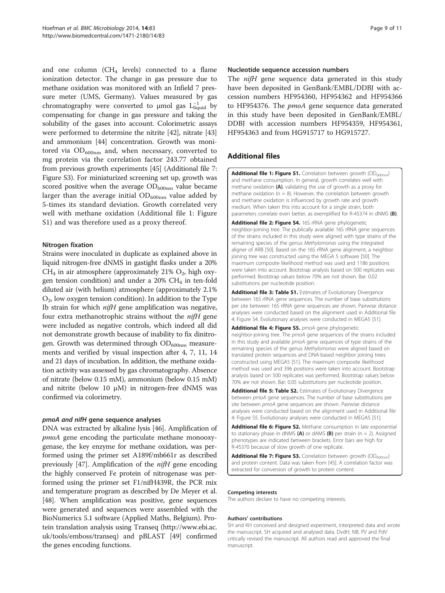<span id="page-8-0"></span>and one column ( $CH<sub>4</sub>$  levels) connected to a flame ionization detector. The change in gas pressure due to methane oxidation was monitored with an Infield 7 pressure meter (UMS, Germany). Values measured by gas chromatography were converted to  $\mu$ mol gas L<sub>liquid</sub> by compensating for change in gas pressure and taking the solubility of the gases into account. Colorimetric assays were performed to determine the nitrite [[42\]](#page-10-0), nitrate [[43](#page-10-0)] and ammonium [[44](#page-10-0)] concentration. Growth was monitored via  $OD_{600nm}$  and, when necessary, converted to mg protein via the correlation factor 243.77 obtained from previous growth experiments [[45](#page-10-0)] (Additional file 7: Figure S3). For miniaturized screening set up, growth was scored positive when the average  $OD_{600nm}$  value became larger than the average initial  $OD_{600nm}$  value added by 5-times its standard deviation. Growth correlated very well with methane oxidation (Additional file 1: Figure S1) and was therefore used as a proxy thereof.

## Nitrogen fixation

Strains were inoculated in duplicate as explained above in liquid nitrogen-free dNMS in gastight flasks under a 20%  $CH<sub>4</sub>$  in air atmosphere (approximately 21%  $O<sub>2</sub>$ , high oxygen tension condition) and under a  $20\%$  CH<sub>4</sub> in ten-fold diluted air (with helium) atmosphere (approximately 2.1%  $O<sub>2</sub>$ , low oxygen tension condition). In addition to the Type Ib strain for which  $ni\pi H$  gene amplification was negative, four extra methanotrophic strains without the nifH gene were included as negative controls, which indeed all did not demonstrate growth because of inability to fix dinitrogen. Growth was determined through  $OD_{600nm}$  measurements and verified by visual inspection after 4, 7, 11, 14 and 21 days of incubation. In addition, the methane oxidation activity was assessed by gas chromatography. Absence of nitrate (below 0.15 mM), ammonium (below 0.15 mM) and nitrite (below 10 μM) in nitrogen-free dNMS was confirmed via colorimetry.

#### pmoA and nifH gene sequence analyses

DNA was extracted by alkaline lysis [\[46\]](#page-10-0). Amplification of pmoA gene encoding the particulate methane monooxygenase, the key enzyme for methane oxidation, was performed using the primer set A189f/mb661r as described previously [\[47](#page-10-0)]. Amplification of the  $ni\pi H$  gene encoding the highly conserved Fe protein of nitrogenase was performed using the primer set F1/nifH439R, the PCR mix and temperature program as described by De Meyer et al. [[48](#page-10-0)]. When amplification was positive, gene sequences were generated and sequences were assembled with the BioNumerics 5.1 software (Applied Maths, Belgium). Protein translation analysis using Transeq [\(http://www.ebi.ac.](http://www.ebi.ac.uk/tools/emboss/transeq) [uk/tools/emboss/transeq\)](http://www.ebi.ac.uk/tools/emboss/transeq) and pBLAST [\[49](#page-10-0)] confirmed the genes encoding functions.

#### Nucleotide sequence accession numbers

The *nifH* gene sequence data generated in this study have been deposited in GenBank/EMBL/DDBJ with accession numbers HF954360, HF954362 and HF954366 to HF954376. The *pmoA* gene sequence data generated in this study have been deposited in GenBank/EMBL/ DDBJ with accession numbers HF954359, HF954361, HF954363 and from HG915717 to HG915727.

## Additional files

**[Additional file 1: Figure S1.](http://www.biomedcentral.com/content/supplementary/1471-2180-14-83-S1.tiff)** Correlation between growth  $OD_{600nm}$ ) and methane consumption. In general, growth correlates well with methane oxidation (A), validating the use of growth as a proxy for methane oxidation ( $n = 8$ ). However, the correlation between growth and methane oxidation is influenced by growth rate and growth medium. When taken this into account for a single strain, both parameters correlate even better, as exemplified for R-45374 in dNMS (B).

[Additional file 2: Figure S4.](http://www.biomedcentral.com/content/supplementary/1471-2180-14-83-S2.tiff) 16S rRNA gene phylogenetic neighbor-joining tree. The publically available 16S rRNA gene sequences of the strains included in this study were aligned with type strains of the remaining species of the genus Methylomonas using the integrated aligner of ARB [[50](#page-10-0)]. Based on the 16S rRNA gene alignment, a neighbor joining tree was constructed using the MEGA 5 software [\[50](#page-10-0)]. The maximum composite likelihood method was used and 1186 positions were taken into account. Bootstrap analysis based on 500 replicates was performed. Bootstrap values below 70% are not shown. Bar: 0.02 substitutions per nucleotide position.

[Additional file 3: Table S1.](http://www.biomedcentral.com/content/supplementary/1471-2180-14-83-S3.pdf) Estimates of Evolutionary Divergence between 16S rRNA gene sequences. The number of base substitutions per site between 16S rRNA gene sequences are shown. Pairwise distance analyses were conducted based on the alignment used in Additional file 4: Figure S4. Evolutionary analyses were conducted in MEGA5 [\[51](#page-10-0)].

[Additional file 4: Figure S5.](http://www.biomedcentral.com/content/supplementary/1471-2180-14-83-S4.pdf) pmoA gene phylogenetic neighbor-joining tree. The pmoA gene sequences of the strains included in this study and available pmoA gene sequences of type strains of the remaining species of the genus Methylomonas were aligned based on translated protein sequences and DNA-based neighbor joining trees constructed using MEGA5 [\[51\]](#page-10-0). The maximum composite likelihood method was used and 396 positions were taken into account. Bootstrap analysis based on 500 replicates was performed. Bootstrap values below 70% are not shown. Bar: 0.05 substitutions per nucleotide position.

[Additional file 5: Table S2.](http://www.biomedcentral.com/content/supplementary/1471-2180-14-83-S5.pdf) Estimates of Evolutionary Divergence between pmoA gene sequences. The number of base substitutions per site between pmoA gene sequences are shown. Pairwise distance analyses were conducted based on the alignment used in Additional file 4: Figure S5. Evolutionary analyses were conducted in MEGA5 [\[51](#page-10-0)].

[Additional file 6: Figure S2.](http://www.biomedcentral.com/content/supplementary/1471-2180-14-83-S6.tiff) Methane consumption in late exponential to stationary phase in dNMS (A) or dAMS (B) per strain ( $n = 2$ ). Assigned phenotypes are indicated between brackets. Error bars are high for R-45370 because of slow growth of one replicate.

**[Additional file 7: Figure S3.](http://www.biomedcentral.com/content/supplementary/1471-2180-14-83-S7.tiff)** Correlation between growth  $OD_{600nm}$ ) and protein content. Data was taken from [\[45](#page-10-0)]. A correlation factor was extracted for conversion of growth to protein content.

#### Competing interests

The authors declare to have no competing interests.

#### Authors' contributions

SH and KH conceived and designed experiment, interpreted data and wrote the manuscript. SH acquired and analysed data. DvdH, NB, PV and PdV critically revised the manuscript. All authors read and approved the final manuscript.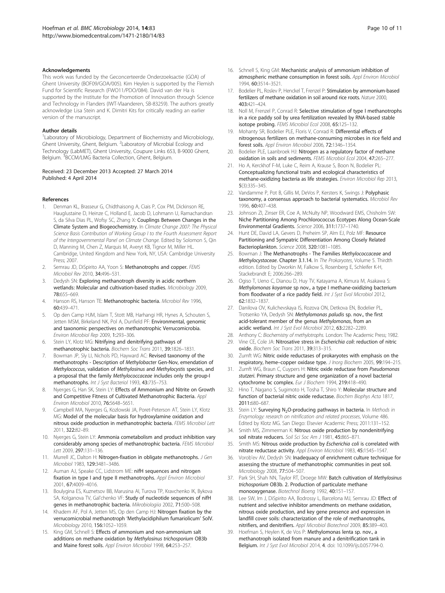#### <span id="page-9-0"></span>Acknowledgements

This work was funded by the Geconcerteerde Onderzoeksactie (GOA) of Ghent University (BOF09/GOA/005). Kim Heylen is supported by the Flemish Fund for Scientific Research (FWO11/PDO/084). David van der Ha is supported by the Institute for the Promotion of Innovation through Science and Technology in Flanders (IWT-Vlaanderen, SB-83259). The authors greatly acknowledge Lisa Stein and K. Dimitri Kits for critically reading an earlier version of the manuscript.

#### Author details

<sup>1</sup> Laboratory of Microbiology, Department of Biochemistry and Microbiology, Ghent University, Ghent, Belgium. <sup>2</sup>Laboratory of Microbial Ecology and Technology (LabMET), Ghent University, Coupure Links 653, B-9000 Ghent, Belgium. <sup>3</sup>BCCM/LMG Bacteria Collection, Ghent, Belgium.

#### Received: 23 December 2013 Accepted: 27 March 2014 Published: 4 April 2014

#### References

- 1. Denman KL, Brasseur G, Chidthaisong A, Ciais P, Cox PM, Dickinson RE, Hauglustaine D, Heinze C, Holland E, Jacob D, Lohmann U, Ramachandran S, da Silva Dias PL, Wofsy SC, Zhang X: Couplings Between Changes in the Climate System and Biogeochemistry. In Climate Change 2007: The Physical Science Basis Contribution of Working Group I to the Fourth Assessment Report of the Intergovernmental Panel on Climate Change. Edited by Solomon S, Qin D, Manning M, Chen Z, Marquis M, Averyt KB, Tignor M, Miller HL. Cambridge, United Kingdom and New York, NY, USA: Cambridge University Press; 2007.
- 2. Semrau JD, DiSpirito AA, Yoon S: Methanotrophs and copper. FEMS Microbiol Rev 2010, 34:496–531.
- Dedysh SN: Exploring methanotroph diversity in acidic northern wetlands: Molecular and cultivation-based studies. Microbiology 2009, 78:655–669.
- 4. Hanson RS, Hanson TE: Methanotrophic bacteria. Microbiol Rev 1996, 60:439–471.
- 5. Op den Camp HJM, Islam T, Stott MB, Harhangi HR, Hynes A, Schouten S, Jetten MSM, Birkeland NK, Pol A, Dunfield PF: Environmental, genomic and taxonomic perspectives on methanotrophic Verrucomicrobia. Environ Microbiol Rep 2009, 1:293–306.
- 6. Stein LY, Klotz MG: Nitrifying and denitrifying pathways of methanotrophic bacteria. Biochem Soc Trans 2011, 39:1826–1831.
- 7. Bowman JP, Sly LI, Nichols PD, Hayward AC: Revised taxonomy of the methanotrophs - Description of Methylobacter Gen-Nov, emendation of Methylococcus, validation of Methylosinus and Methylocystis species, and a proposal that the family Methylococcaceae includes only the group-I methanotrophs. Int J Syst Bacteriol 1993, 43:735–753.
- 8. Nyerges G, Han SK, Stein LY: Effects of Ammonium and Nitrite on Growth and Competitive Fitness of Cultivated Methanotrophic Bacteria. Appl Environ Microbiol 2010, 76:5648–5651.
- 9. Campbell MA, Nyerges G, Kozlowski JA, Poret-Peterson AT, Stein LY, Klotz MG: Model of the molecular basis for hydroxylamine oxidation and nitrous oxide production in methanotrophic bacteria. FEMS Microbiol Lett 2011, 322:82–89.
- 10. Nyerges G, Stein LY: Ammonia cometabolism and product inhibition vary considerably among species of methanotrophic bacteria. FEMS Microbiol Lett 2009, 297:131–136.
- 11. Murrell JC, Dalton H: Nitrogen-fixation in obligate methanotrophs. J Gen Microbiol 1983, 129:3481–3486.
- 12. Auman AJ, Speake CC, Lidstrom ME: nifH sequences and nitrogen fixation in type I and type II methanotrophs. Appl Environ Microbiol 2001, 67:4009–4016.
- 13. Boulygina ES, Kuznetsov BB, Marusina AI, Turova TP, Kravchenko IK, Bykova SA, Kolganova TV, Gal'chenko VF: Study of nucleotide sequences of nifH genes in methanotrophic bacteria. Mikrobiologiia 2002, 71:500–508.
- 14. Khadem AF, Pol A, Jetten MS, Op den Camp HJ: Nitrogen fixation by the verrucomicrobial methanotroph 'Methylacidiphilum fumariolicum' SolV. Microbiology 2010, 156:1052–1059.
- 15. King GM, Schnell S: Effects of ammonium and non-ammonium salt additions on methane oxidation by Methylosinus trichosporium OB3b and Maine forest soils. Appl Environ Microbiol 1998, 64:253–257.
- 16. Schnell S, King GM: Mechanistic analysis of ammonium inhibition of atmospheric methane consumption in forest soils. Appl Environ Microbiol 1994, 60:3514–3521.
- 17. Bodelier PL, Rosley P, Henckel T, Frenzel P: Stimulation by ammonium-based fertilizers of methane oxidation in soil around rice roots. Nature 2000, 403:421–424.
- 18. Noll M, Frenzel P, Conrad R: Selective stimulation of type I methanotrophs in a rice paddy soil by urea fertilization revealed by RNA-based stable isotope probing. FEMS Microbiol Ecol 2008, 65:125–132.
- 19. Mohanty SR, Bodelier PLE, Floris V, Conrad R: Differential effects of nitrogenous fertilizers on methane-consuming microbes in rice field and forest soils. Appl Environ Microbiol 2006, 72:1346–1354.
- 20. Bodelier PLE, Laanbroek HJ: Nitrogen as a regulatory factor of methane oxidation in soils and sediments. FEMS Microbiol Ecol 2004, 47:265–277.
- 21. Ho A, Kerckhof F-M, Luke C, Reim A, Krause S, Boon N, Bodelier PL: Conceptualizing functional traits and ecological characteristics of methane-oxidizing bacteria as life strategies. Environ Microbiol Rep 2013, 5(3):335–345.
- 22. Vandamme P, Pot B, Gillis M, DeVos P, Kersters K, Swings J: Polyphasic taxonomy, a consensus approach to bacterial systematics. Microbiol Rev 1996, 60:407–438.
- Johnson ZI, Zinser ER, Coe A, McNulty NP, Woodward EMS, Chisholm SW: Niche Partitioning Among Prochlorococcus Ecotypes Along Ocean-Scale Environmental Gradients. Science 2006, 311:1737–1740.
- 24. Hunt DE, David LA, Gevers D, Preheim SP, Alm EJ, Polz MF: Resource Partitioning and Sympatric Differentiation Among Closely Related Bacterioplankton. Science 2008, 320:1081–1085.
- 25. Bowman J: The Methanotrophs The Families Methylococcaceae and Methylocystaceae. Chapter 3.1.14. In The Prokaryotes, Volume 5. Thirdth edition. Edited by Dworkin M, Falkow S, Rosenberg E, Schleifer K-H, Stackebrandt E; 2006:266–289.
- 26. Ogiso T, Ueno C, Dianou D, Huy TV, Katayama A, Kimura M, Asakawa S: Methylomonas koyamae sp nov., a type I methane-oxidizing bacterium from floodwater of a rice paddy field. Int J Syst Evol Microbiol 2012, 62:1832–1837.
- 27. Danilova OV, Kulichevskaya IS, Rozova ON, Detkova EN, Bodelier PL, Trotsenko YA, Dedysh SN: Methylomonas paludis sp. nov., the first acid-tolerant member of the genus Methylomonas, from an acidic wetland. Int J Syst Evol Microbiol 2012, 63:2282–2289.
- 28. Anthony C: Biochemistry of methylotrophs. London: The Academic Press; 1982.
- 29. Vine CE, Cole JA: Nitrosative stress in Escherichia coli: reduction of nitric oxide. Biochem Soc Trans 2011, 39:313-315.
- 30. Zumft WG: Nitric oxide reductases of prokaryotes with emphasis on the respiratory, heme–copper oxidase type. J Inorg Biochem 2005, 99:194–215.
- 31. Zumft WG, Braun C, Cuypers H: Nitric oxide reductase from Pseudomonas stutzeri. Primary structure and gene organization of a novel bacterial cytochrome bc complex. Eur J Biochem 1994, 219:418-490.
- 32. Hino T, Nagano S, Sugimoto H, Tosha T, Shiro Y: Molecular structure and function of bacterial nitric oxide reductase. Biochim Biophys Acta 1817, 2011:680–687.
- 33. Stein LY: Surveying N<sub>2</sub>O-producing pathways in bacteria. In Methods in Enzymology: research on nitrification and related processes, Volume 486. Edited by Klotz MG. San Diego: Elsevier Academic Press; 2011:131–152.
- 34. Smith MS, Zimmerman K: Nitrous oxide production by nondenitrifying soil nitrate reducers. Soil Sci Soc Am J 1981, 45:865-871.
- 35. Smith MS: Nitrous oxide production by Escherichia coli is correlated with nitrate reductase activity. Appl Environ Microbiol 1983, 45:1545–1547.
- 36. Vorob'ev AV, Dedysh SN: Inadequacy of enrichment culture technique for assessing the structure of methanotrophic communities in peat soil. Microbiology 2008, 77:504–507.
- 37. Park SH, Shah NN, Taylor RT, Droege MW: Batch cultivation of Methylosinus trichosporium OB3b. 2. Production of particulate methane monooxygenase. Biotechnol Bioeng 1992, 40:151–157.
- Lee SW, Im J, DiSpirito AA, Bodrossy L, Barcelona MJ, Semrau JD: Effect of nutrient and selective inhibitor amendments on methane oxidation, nitrous oxide production, and key gene presence and expression in landfill cover soils: characterization of the role of methanotrophs, nitrifiers, and denitrifiers. Appl Microbiol Biotechnol 2009, 85:389–403.
- 39. Hoefman S, Heylen K, de Vos P: Methylomonas lenta sp. nov., a methanotroph isolated from manure and a denitrification tank in Belgium. Int J Syst Evol Microbiol 2014, 4. doi: 10.1099/ijs.0.057794-0.